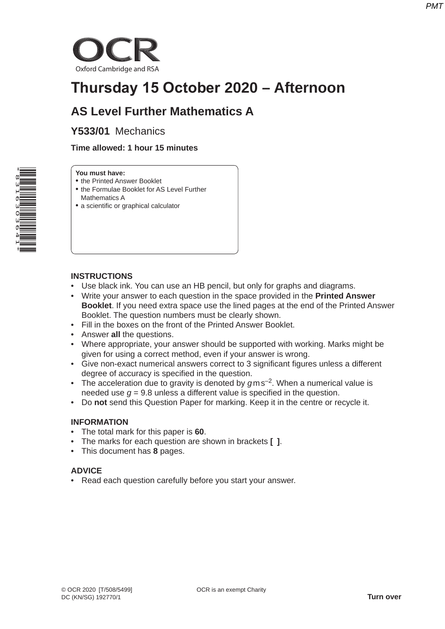

# **Thursday 15 October 2020 – Afternoon**

## **AS Level Further Mathematics A**

**Y533/01** Mechanics

## **Time allowed: 1 hour 15 minutes**



#### **You must have:**

- the Printed Answer Booklet
- the Formulae Booklet for AS Level Further
- Mathematics A
- a scientific or graphical calculator

#### **INSTRUCTIONS**

- Use black ink. You can use an HB pencil, but only for graphs and diagrams.
- Write your answer to each question in the space provided in the **Printed Answer Booklet**. If you need extra space use the lined pages at the end of the Printed Answer Booklet. The question numbers must be clearly shown.
- Fill in the boxes on the front of the Printed Answer Booklet.
- Answer **all** the questions.
- Where appropriate, your answer should be supported with working. Marks might be given for using a correct method, even if your answer is wrong.
- Give non-exact numerical answers correct to 3 significant figures unless a different degree of accuracy is specified in the question.
- The acceleration due to gravity is denoted by  $qms^{-2}$ . When a numerical value is needed use  $q = 9.8$  unless a different value is specified in the question.
- Do **not** send this Question Paper for marking. Keep it in the centre or recycle it.

#### **INFORMATION**

- The total mark for this paper is **60**.
- The marks for each question are shown in brackets **[ ]**.
- This document has **8** pages.

## **ADVICE**

• Read each question carefully before you start your answer.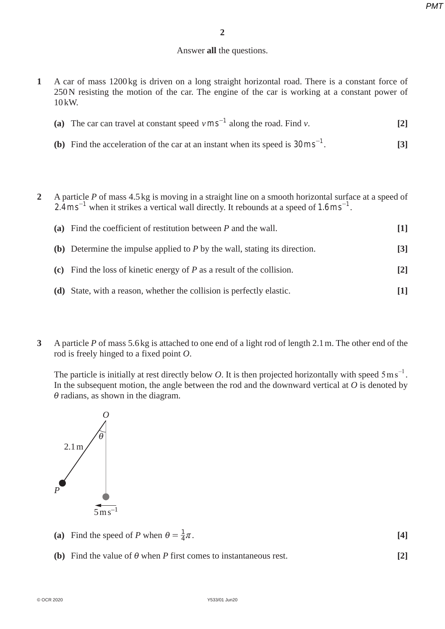## Answer **all** the questions.

- **1** A car of mass 1200 kg is driven on a long straight horizontal road. There is a constant force of 250 N resisting the motion of the car. The engine of the car is working at a constant power of 10 kW.
- (a) The car can travel at constant speed  $v \text{ ms}^{-1}$  along the road. Find *v*. [2]
	- **(b)** Find the acceleration of the car at an instant when its speed is  $30 \text{ ms}^{-1}$ . . **[3]**
- **2** A particle *P* of mass 4.5 kg is moving in a straight line on a smooth horizontal surface at a speed of  $2.4 \text{ ms}^{-1}$  when it strikes a vertical wall directly. It rebounds at a speed of  $1.6 \text{ ms}^{-1}$ .

| (a) Find the coefficient of restitution between $P$ and the wall.            |                   |
|------------------------------------------------------------------------------|-------------------|
| (b) Determine the impulse applied to $P$ by the wall, stating its direction. | $\mathbf{[3]}$    |
| (c) Find the loss of kinetic energy of $P$ as a result of the collision.     | $\lceil 2 \rceil$ |
| (d) State, with a reason, whether the collision is perfectly elastic.        |                   |

**3** A particle *P* of mass 5.6 kg is attached to one end of a light rod of length 2.1 m. The other end of the rod is freely hinged to a fixed point *O*.

The particle is initially at rest directly below O. It is then projected horizontally with speed  $5 \text{ m s}^{-1}$ . In the subsequent motion, the angle between the rod and the downward vertical at *O* is denoted by  $\theta$  radians, as shown in the diagram.



(a) Find the speed of *P* when  $\theta = \frac{1}{4}\pi$ . [4]

**(b)** Find the value of  $\theta$  when *P* first comes to instantaneous rest. [2]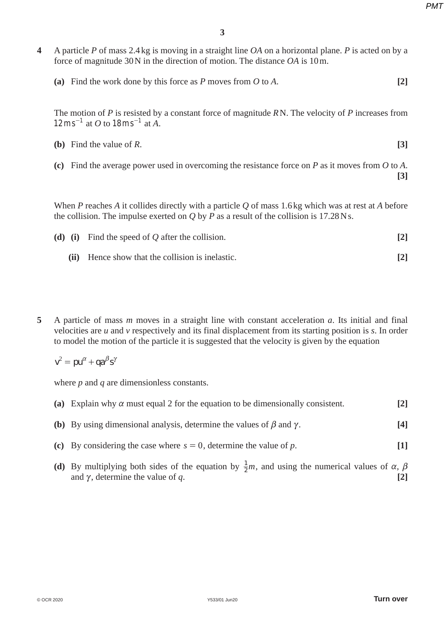- **4** A particle *P* of mass 2.4 kg is moving in a straight line *OA* on a horizontal plane. *P* is acted on by a force of magnitude 30 N in the direction of motion. The distance *OA* is 10 m.
	- **(a)** Find the work done by this force as *P* moves from *O* to *A*. **[2]**

The motion of *P* is resisted by a constant force of magnitude *R* N. The velocity of *P* increases from  $12 \text{ ms}^{-1}$  at *O* to  $18 \text{ ms}^{-1}$  at *A*.

- **(b)** Find the value of *R*. **[3]**
- **(c)** Find the average power used in overcoming the resistance force on *P* as it moves from *O* to *A*. **[3]**

When *P* reaches *A* it collides directly with a particle *Q* of mass 1.6 kg which was at rest at *A* before the collision. The impulse exerted on  $Q$  by  $P$  as a result of the collision is 17.28 N s.

| (d) (i) Find the speed of $Q$ after the collision. | $[2]$ |
|----------------------------------------------------|-------|
| (ii) Hence show that the collision is inelastic.   |       |

**5** A particle of mass *m* moves in a straight line with constant acceleration *a*. Its initial and final velocities are *u* and *v* respectively and its final displacement from its starting position is *s*. In order to model the motion of the particle it is suggested that the velocity is given by the equation

 $v^2 = pu^{\alpha} + qa^{\beta} s^{\gamma}$ 

where *p* and *q* are dimensionless constants.

| (a) Explain why $\alpha$ must equal 2 for the equation to be dimensionally consistent. | $[2]$ |
|----------------------------------------------------------------------------------------|-------|
|----------------------------------------------------------------------------------------|-------|

- **(b)** By using dimensional analysis, determine the values of  $\beta$  and  $\gamma$ . [4]
- **(c)** By considering the case where  $s = 0$ , determine the value of *p*. [1]
- **(d)** By multiplying both sides of the equation by  $\frac{1}{2}m$ , and using the numerical values of  $\alpha$ ,  $\beta$ and  $\gamma$ , determine the value of *q*.  $[2]$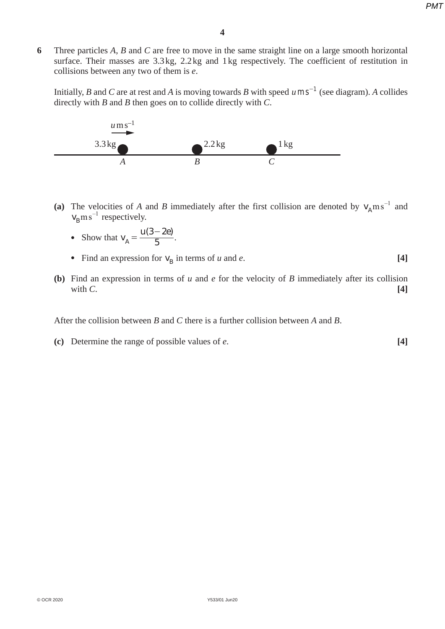**6** Three particles *A*, *B* and *C* are free to move in the same straight line on a large smooth horizontal surface. Their masses are 3.3 kg, 2.2 kg and 1 kg respectively. The coefficient of restitution in collisions between any two of them is *e*.

Initially, *B* and *C* are at rest and *A* is moving towards *B* with speed  $u$  ms<sup> $-1$ </sup> (see diagram). *A* collides directly with *B* and *B* then goes on to collide directly with *C*.



- (a) The velocities of *A* and *B* immediately after the first collision are denoted by  $v_A$  m s<sup>-1</sup> and  $v_B$ m s<sup>-1</sup> respectively.
	- Show that  $v_A = \frac{u(3-2e)}{5}$  $u(3-2e)$ 5  $A = \frac{u(3-2e)}{5}$ .
	- Find an expression for  $v_B$  in terms of *u* and *e*. [4]
	- **(b)** Find an expression in terms of *u* and *e* for the velocity of *B* immediately after its collision with  $C$ .  $[4]$

After the collision between *B* and *C* there is a further collision between *A* and *B*.

 **(c)** Determine the range of possible values of *e*. **[4]**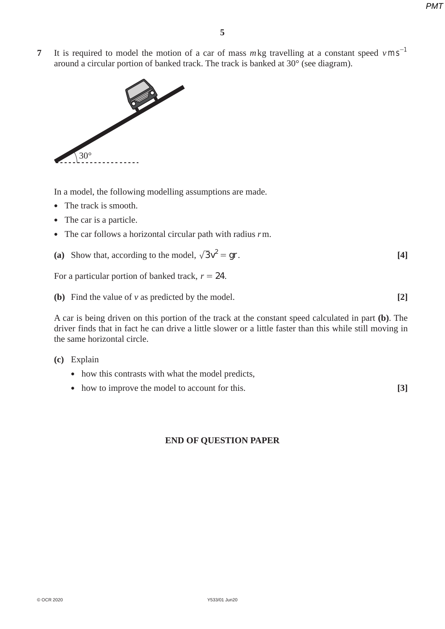**7** It is required to model the motion of a car of mass *m* kg travelling at a constant speed  $v \text{ ms}^{-1}$ around a circular portion of banked track. The track is banked at 30° (see diagram).



In a model, the following modelling assumptions are made.

- The track is smooth.
- The car is a particle.
- The car follows a horizontal circular path with radius *r* m.
- **(a)** Show that, according to the model,  $\sqrt{3}v^2 = gr$ . [4]

For a particular portion of banked track, *r* = 24.

 **(b)** Find the value of *v* as predicted by the model. **[2]**

A car is being driven on this portion of the track at the constant speed calculated in part **(b)**. The driver finds that in fact he can drive a little slower or a little faster than this while still moving in the same horizontal circle.

- **(c)** Explain
	- how this contrasts with what the model predicts,
	- how to improve the model to account for this. **[3]**

## **END OF QUESTION PAPER**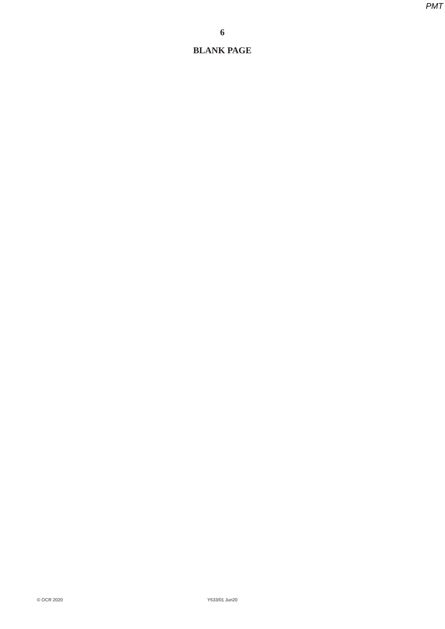## $\boldsymbol{6}$

## **BLANK PAGE**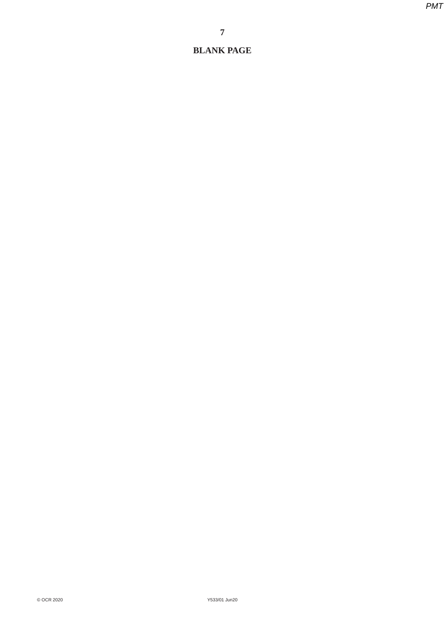## **BLANK PAGE**